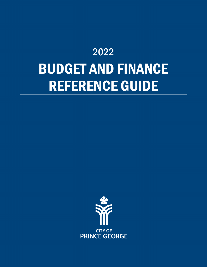# 2022 BUDGET AND FINANCE REFERENCE GUIDE

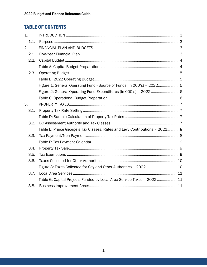# **TABLE OF CONTENTS**

| 1.   |                                                                             |  |
|------|-----------------------------------------------------------------------------|--|
| 1.1. |                                                                             |  |
| 2.   |                                                                             |  |
| 2.1. |                                                                             |  |
| 2.2. |                                                                             |  |
|      |                                                                             |  |
| 2.3. |                                                                             |  |
|      |                                                                             |  |
|      | Figure 1: General Operating Fund - Source of Funds (in 000's) - 20225       |  |
|      | Figure 2: General Operating Fund Expenditures (in 000's) - 2022  6          |  |
|      |                                                                             |  |
| 3.   |                                                                             |  |
| 3.1. |                                                                             |  |
|      |                                                                             |  |
| 3.2. |                                                                             |  |
|      | Table E: Prince George's Tax Classes, Rates and Levy Contributions - 2021 8 |  |
| 3.3. |                                                                             |  |
|      |                                                                             |  |
| 3.4. |                                                                             |  |
| 3.5. |                                                                             |  |
| 3.6. |                                                                             |  |
|      | Figure 3: Taxes Collected for City and Other Authorities - 202210           |  |
| 3.7. |                                                                             |  |
|      | Table G: Capital Projects Funded by Local Area Service Taxes - 2022 11      |  |
| 3.8. |                                                                             |  |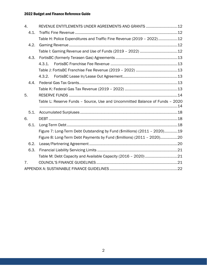| 4.   | REVENUE ENTITLEMENTS UNDER AGREEMENTS AND GRANTS  12                         |
|------|------------------------------------------------------------------------------|
| 4.1. |                                                                              |
|      | Table H: Police Expenditures and Traffic Fine Revenue (2019 - 2022)12        |
| 4.2. |                                                                              |
|      |                                                                              |
| 4.3. |                                                                              |
|      | 4.3.1.                                                                       |
|      |                                                                              |
|      |                                                                              |
| 4.4. |                                                                              |
|      |                                                                              |
| 5.   |                                                                              |
|      | Table L: Reserve Funds - Source, Use and Uncommitted Balance of Funds - 2020 |
| 5.1. |                                                                              |
| 6.   |                                                                              |
| 6.1. |                                                                              |
|      | Figure 7: Long-Term Debt Outstanding by Fund (\$millions) (2011 - 2020)19    |
|      | Figure 8: Long-Term Debt Payments by Fund (\$millions) (2011 - 2020)20       |
| 6.2. |                                                                              |
| 6.3. |                                                                              |
|      |                                                                              |
| 7.   |                                                                              |
|      |                                                                              |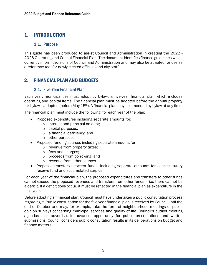# <span id="page-3-1"></span><span id="page-3-0"></span>1. INTRODUCTION

# 1.1. Purpose

This guide has been produced to assist Council and Administration in creating the 2022 - 2026 Operating and Capital Financial Plan. The document identifies finance guidelines which currently inform decisions of Council and Administration and may also be adapted for use as a reference tool for newly elected officials and city staff.

# <span id="page-3-3"></span><span id="page-3-2"></span>2. FINANCIAL PLAN AND BUDGETS

## 2.1. Five-Year Financial Plan

Each year, municipalities must adopt by bylaw, a five-year financial plan which includes operating and capital items. The financial plan must be adopted before the annual property tax bylaw is adopted (before May 15<sup>th</sup>). A financial plan may be amended by bylaw at any time.

The financial plan must include the following, for each year of the plan:

- Proposed expenditures including separate amounts for:
	- o interest and principal on debt;
	- o capital purposes;
	- o a financial deficiency; and
	- o other purposes.
- Proposed funding sources including separate amounts for:
	- o revenue from property taxes;
	- o fees and charges;
	- o proceeds from borrowing; and
	- o revenue from other sources.
- Proposed transfers between funds, including separate amounts for each statutory reserve fund and accumulated surplus.

For each year of the financial plan, the proposed expenditures and transfers to other funds cannot exceed the proposed revenues and transfers from other funds – i.e. there cannot be a deficit. If a deficit does occur, it must be reflected in the financial plan as expenditure in the next year.

Before adopting a financial plan, Council must have undertaken a public consultation process regarding it. Public consultation for the five year financial plan is received by Council until the end of October and may, for example, take the form of neighbourhood meetings or public opinion surveys concerning municipal services and quality of life. Council's budget meeting agendas also advertise, in advance, opportunity for public presentations and written submissions. Council considers public consultation results in its deliberations on budget and finance matters.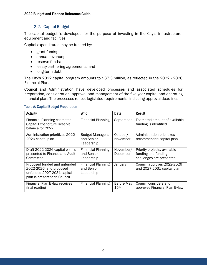#### 2.2. Capital Budget

<span id="page-4-0"></span>The capital budget is developed for the purpose of investing in the City's infrastructure, equipment and facilities.

Capital expenditures may be funded by:

- grant funds;
- annual revenue;
- reserve funds;
- lease/partnering agreements; and
- long-term debt.

The City's 2022 capital program amounts to \$37.3 million, as reflected in the 2022 - 2026 Financial Plan.

Council and Administration have developed processes and associated schedules for preparation, consideration, approval and management of the five year capital and operating financial plan. The processes reflect legislated requirements, including approval deadlines.

#### <span id="page-4-1"></span>Table A: Capital Budget Preparation

| <b>Activity</b>                                                                                                       | Who                                                   | Date                           | <b>Result</b>                                                                   |
|-----------------------------------------------------------------------------------------------------------------------|-------------------------------------------------------|--------------------------------|---------------------------------------------------------------------------------|
| <b>Financial Planning estimates</b><br>Capital Expenditure Reserve<br>balance for 2022                                | <b>Financial Planning</b>                             | September                      | Estimated amount of available<br>funding is identified                          |
| Administration prioritizes 2022-<br>2026 capital plan                                                                 | <b>Budget Managers</b><br>and Senior<br>Leadership    | October/<br>November           | Administration prioritizes<br>recommended capital plan                          |
| Draft 2022-2026 capital plan is<br>presented to Finance and Audit<br>Committee                                        | <b>Financial Planning</b><br>and Senior<br>Leadership | November/<br>December          | Priority projects, available<br>funding and funding<br>challenges are presented |
| Proposed funded and unfunded<br>2022-2026, and proposed<br>unfunded 2027-2031 capital<br>plan is presented to Council | <b>Financial Planning</b><br>and Senior<br>Leadership | January                        | Council approves 2022-2026<br>and 2027-2031 capital plan                        |
| Financial Plan Bylaw receives<br>final reading                                                                        | <b>Financial Planning</b>                             | Before May<br>15 <sup>th</sup> | Council considers and<br>approves Financial Plan Bylaw                          |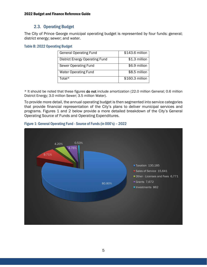# 2.3. Operating Budget

<span id="page-5-0"></span>The City of Prince George municipal operating budget is represented by four funds: general; district energy; sewer; and water.

#### <span id="page-5-1"></span>Table B: 2022 Operating Budget

| <b>General Operating Fund</b>         | \$143.6 million |
|---------------------------------------|-----------------|
| <b>District Energy Operating Fund</b> | \$1.3 million   |
| Sewer Operating Fund                  | \$6.9 million   |
| <b>Water Operating Fund</b>           | \$8.5 million   |
| Total*                                | \$160.3 million |

\* It should be noted that these figures do not include amortization (22.0 million General; 0.6 million District Energy; 3.0 million Sewer; 3.5 million Water).

To provide more detail, the annual operating budget is then segmented into service categories that provide financial representation of the City's plans to deliver municipal services and programs. Figures 1 and 2 below provide a more detailed breakdown of the City's General Operating Source of Funds and Operating Expenditures.



#### <span id="page-5-2"></span>Figure 1: General Operating Fund - Source of Funds (in 000's) – 2022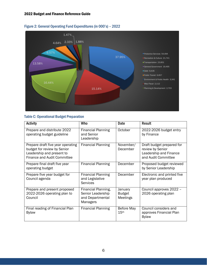

#### <span id="page-6-0"></span>Figure 2: General Operating Fund Expenditures (in 000's) – 2022

## <span id="page-6-1"></span>Table C: Operational Budget Preparation

| <b>Activity</b>                                                                                                                     | Who                                                                             | <b>Date</b>                          | <b>Result</b>                                                                                  |
|-------------------------------------------------------------------------------------------------------------------------------------|---------------------------------------------------------------------------------|--------------------------------------|------------------------------------------------------------------------------------------------|
| Prepare and distribute 2022<br>operating budget guideline                                                                           | <b>Financial Planning</b><br>and Senior<br>Leadership                           | October                              | 2022-2026 budget entry<br>by Finance                                                           |
| Prepare draft five year operating<br>budget for review by Senior<br>Leadership and present to<br><b>Finance and Audit Committee</b> | <b>Financial Planning</b>                                                       | November/<br>December                | Draft budget prepared for<br>review by Senior<br>Leadership and Finance<br>and Audit Committee |
| Prepare final draft five year<br>operating budget                                                                                   | <b>Financial Planning</b>                                                       | December                             | Proposed budget reviewed<br>by Senior Leadership                                               |
| Prepare five year budget for<br>Council agenda                                                                                      | <b>Financial Planning</b><br>and Legislative<br>Services                        | December                             | Electronic and printed five<br>year plan produced                                              |
| Prepare and present proposed<br>2022-2026 operating plan to<br>Council                                                              | Financial Planning,<br>Senior Leadership<br>and Departmental<br><b>Managers</b> | January<br><b>Budget</b><br>Meetings | Council approves 2022 -<br>2026 operating plan                                                 |
| Final reading of Financial Plan<br><b>Bylaw</b>                                                                                     | <b>Financial Planning</b>                                                       | Before May<br>15 <sup>th</sup>       | Council considers and<br>approves Financial Plan<br><b>Bylaw</b>                               |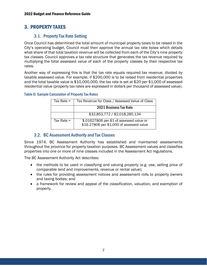# <span id="page-7-1"></span><span id="page-7-0"></span>3. PROPERTY TAXES

# 3.1. Property Tax Rate Setting

Once Council has determined the total amount of municipal property taxes to be raised in the City's operating budget, Council must then approve the annual tax rate bylaw which details what share of that total taxation revenue will be collected from each of the City's nine property tax classes. Council approves a tax rate structure that generates the tax revenue required by multiplying the total assessed value of each of the property classes by their respective tax rates.

Another way of expressing this is that the tax rate equals required tax revenue, divided by taxable assessed value. For example, if \$200,000 is to be raised from residential properties and the total taxable value is \$10,000,000, the tax rate is set at \$20 per \$1,000 of assessed residential value (property tax rates are expressed in dollars per thousand of assessed value).

| Tax Rate = | Tax Revenue for Class / Assessed Value of Class                                      |
|------------|--------------------------------------------------------------------------------------|
|            | 2021 Business Tax Rate                                                               |
|            | \$32,853,772 / \$2,018,285,134                                                       |
| Tax Rate = | \$.01627806 per \$1 of assessed value or<br>\$16.27806 per \$1,000 of assessed value |

#### <span id="page-7-2"></span>Table D: Sample Calculation of Property Tax Rates

# <span id="page-7-3"></span>3.2. BC Assessment Authority and Tax Classes

Since 1974, BC Assessment Authority has established and maintained assessments throughout the province for property taxation purposes. BC Assessment values and classifies properties into one or more of nine classes included in the Assessment Act regulations.

The BC Assessment Authority Act describes:

- the methods to be used in classifying and valuing property (e.g. use, selling price of comparable land and improvements, revenue or rental value);
- the rules for providing assessment notices and assessment rolls to property owners and taxing bodies; and
- a framework for review and appeal of the classification, valuation, and exemption of property.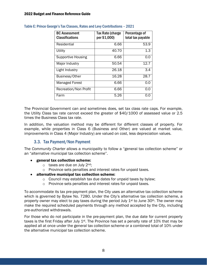| <b>BC Assessment</b><br><b>Classifications</b> | <b>Tax Rate (charge</b><br>per \$1,000) | Percentage of<br>total tax payable |
|------------------------------------------------|-----------------------------------------|------------------------------------|
| Residential                                    | 6.66                                    | 53.9                               |
| Utility                                        | 40.70                                   | 1.3                                |
| <b>Supportive Housing</b>                      | 6.66                                    | 0.0                                |
| Major Industry                                 | 50.54                                   | 12.7                               |
| Light Industry                                 | 26.18                                   | 3.4                                |
| Business/Other                                 | 16.28                                   | 28.7                               |
| <b>Managed Forest</b>                          | 6.66                                    | 0.0                                |
| Recreation/Non Profit                          | 6.66                                    | 0.0                                |
| Farm                                           | 5.26                                    | 0.0                                |

<span id="page-8-0"></span>Table E: Prince George's Tax Classes, Rates and Levy Contributions – 2021

The Provincial Government can and sometimes does, set tax class rate caps. For example, the Utility Class tax rate cannot exceed the greater of \$40/1000 of assessed value or 2.5 times the Business Class tax rate.

In addition, the valuation method may be different for different classes of property. For example, while properties in Class 6 (Business and Other) are valued at market value, improvements in Class 4 (Major Industry) are valued on cost, less depreciation values.

# 3.3. Tax Payment/Non Payment

<span id="page-8-1"></span>The *Community Charter* allows a municipality to follow a "general tax collection scheme" or an "alternative municipal tax collection scheme".

#### • general tax collection scheme:

- $\circ$  taxes are due on July 2<sup>nd</sup>;
- o Province sets penalties and interest rates for unpaid taxes.

#### • alternative municipal tax collection scheme:

- o Council may establish tax due dates for unpaid taxes by bylaw;
- o Province sets penalties and interest rates for unpaid taxes.

To accommodate its tax pre-payment plan, the City uses an alternative tax collection scheme which is governed by Bylaw No. 7280. Under the City's alternative tax collection scheme, a property owner may elect to pay taxes during the period July  $1<sup>st</sup>$  to June 30<sup>th</sup>. The owner may make the required scheduled payments through any method accepted by the City, including pre-authorized withdrawals.

For those who do not participate in the pre-payment plan, the due date for current property taxes is the first Friday after July  $1<sup>st</sup>$ . The Province has set a penalty rate of 10% that may be applied all at once under the general tax collection scheme or a combined total of 10% under the alternative municipal tax collection scheme.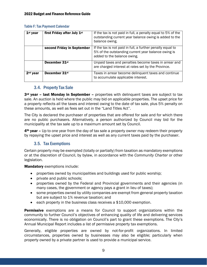#### <span id="page-9-0"></span>Table F: Tax Payment Calendar

| $1st$ year | first Friday after July 1st | If the tax is not paid in full, a penalty equal to 5% of the<br>outstanding current year balance owing is added to the<br>balance owing.         |
|------------|-----------------------------|--------------------------------------------------------------------------------------------------------------------------------------------------|
|            | second Friday in September  | If the tax is not paid in full, a further penalty equal to<br>5% of the outstanding current year balance owing is<br>added to the balance owing. |
|            | December 31 <sup>st</sup>   | Unpaid taxes and penalties become taxes in arrear and<br>are charged interest at rates set by the Province.                                      |
| $2nd$ year | December 31 <sup>st</sup>   | Taxes in arrear become delinguent taxes and continue<br>to accumulate applicable interest.                                                       |

## <span id="page-9-1"></span>3.4. Property Tax Sale

3<sup>rd</sup> year - last Monday in September - properties with delinquent taxes are subject to tax sale. An auction is held where the public may bid on applicable properties. The upset price for a property reflects all the taxes and interest owing to the date of tax sale, plus 5% penalty on these amounts, as well as fees set out in the "Land Titles Act".

The City is declared the purchaser of properties that are offered for sale and for which there are no public purchasers. Alternatively, a person authorized by Council may bid for the municipality at the tax sale up to a maximum amount set by Council.

4<sup>th</sup> year – Up to one year from the day of tax sale a property owner may redeem their property by repaying the upset price and interest as well as any current taxes paid by the purchaser.

#### 3.5. Tax Exemptions

<span id="page-9-2"></span>Certain property may be exempted (totally or partially) from taxation as mandatory exemptions or at the discretion of Council, by bylaw, in accordance with the *Community Charter* or other legislation.

Mandatory exemptions include:

- properties owned by municipalities and buildings used for public worship;
- private and public schools;
- properties owned by the Federal and Provincial governments and their agencies (in many cases, the government or agency pays a grant in lieu of taxes);
- some properties owned by utility companies are exempt from general property taxation but are subject to 1% revenue taxation; and
- each property in the business class receives a \$10,000 exemption.

**Permissive** exemptions are a means for Council to support organizations within the community to further Council's objectives of enhancing quality of life and delivering services economically. There is no obligation on Council's part to grant these exemptions. The City's Annual Municipal Report includes a list of permissive property tax exemptions.

Generally, eligible properties are owned by not-for-profit organizations. In limited circumstances, properties owned by businesses may also be eligible; particularly when property owned by a private partner is used to provide a municipal service.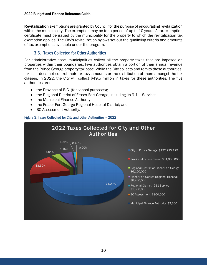**Revitalization** exemptions are granted by Council for the purpose of encouraging revitalization within the municipality. The exemption may be for a period of up to 10 years. A tax exemption certificate must be issued by the municipality for the property to which the revitalization tax exemption applies. The City's revitalization bylaws set out the qualifying criteria and amounts of tax exemptions available under the program.

## 3.6. Taxes Collected for Other Authorities

<span id="page-10-0"></span>For administrative ease, municipalities collect all the property taxes that are imposed on properties within their boundaries. Five authorities obtain a portion of their annual revenue from the Prince George property tax base. While the City collects and remits these authorities' taxes, it does not control their tax levy amounts or the distribution of them amongst the tax classes. In 2022, the City will collect \$49.5 million in taxes for these authorities. The five authorities are:

- the Province of B.C. (for school purposes);
- the Regional District of Fraser-Fort George, including its 9-1-1 Service;
- the Municipal Finance Authority;
- the Fraser-Fort George Regional Hospital District; and
- BC Assessment Authority.

#### <span id="page-10-1"></span>Figure 3: Taxes Collected for City and Other Authorities – 2022

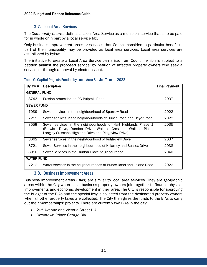# 3.7. Local Area Services

<span id="page-11-0"></span>The *Community Charter* defines a Local Area Service as a municipal service that is to be paid for in whole or in part by a local service tax.

Only business improvement areas or services that Council considers a particular benefit to part of the municipality may be provided as local area services. Local area services are established by bylaw.

The initiative to create a Local Area Service can arise: from Council, which is subject to a petition against the proposed service; by petition of affected property owners who seek a service; or through approval by elector assent.

| Bylaw #             | <b>Description</b>                                                                                                                                                                        | <b>Final Payment</b> |
|---------------------|-------------------------------------------------------------------------------------------------------------------------------------------------------------------------------------------|----------------------|
| <b>GENERAL FUND</b> |                                                                                                                                                                                           |                      |
| 8743                | Erosion protection on PG Pulpmill Road                                                                                                                                                    | 2037                 |
| <b>SEWER FUND</b>   |                                                                                                                                                                                           |                      |
| 7089                | Sewer services in the neighbourhood of Sparrow Road                                                                                                                                       | 2022                 |
| 7211                | Sewer services in the neighbourhoods of Bunce Road and Heyer Road                                                                                                                         | 2022                 |
| 8559                | Sewer services in the neighbourhoods of Hart Highlands Phase 1<br>(Berwick Drive, Dundee Drive, Wallace Crescent, Wallace Place,<br>Langley Crescent, Highland Drive and Ridgeview Drive) | 2035                 |
| 8662                | Sewer services in the neighbourhood of Ridgeview Drive                                                                                                                                    | 2037                 |
| 8721                | Sewer Services in the neighbourhood of Killarney and Sussex Drive                                                                                                                         | 2038                 |
| 8910                | Sewer Services in the Dunbar Place neighbourhood                                                                                                                                          | 2040                 |
| <b>WATER FUND</b>   |                                                                                                                                                                                           |                      |
| 7212                | Water services in the neighbourhoods of Bunce Road and Leland Road                                                                                                                        | 2022                 |

#### <span id="page-11-1"></span>Table G: Capital Projects Funded by Local Area Service Taxes – 2022

#### 3.8. Business Improvement Areas

<span id="page-11-2"></span>Business improvement areas (BIAs) are similar to local area services. They are geographic areas within the City where local business property owners join together to finance physical improvements and economic development in their area. The City is responsible for approving the budget of the BIAs and the special levy is collected from the designated property owners when all other property taxes are collected. The City then gives the funds to the BIAs to carry out their memberships' projects. There are currently two BIAs in the city:

- 20<sup>th</sup> Avenue and Victoria Street BIA
- Downtown Prince George BIA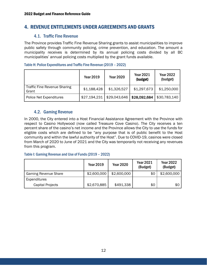# <span id="page-12-1"></span><span id="page-12-0"></span>4. REVENUE ENTITLEMENTS UNDER AGREEMENTS AND GRANTS

# 4.1. Traffic Fine Revenue

The Province provides Traffic Fine Revenue Sharing grants to assist municipalities to improve public safety through community policing, crime prevention, and education. The amount a municipality receives is determined by its annual policing costs divided by all BC municipalities' annual policing costs multiplied by the grant funds available.

<span id="page-12-2"></span>

|  | Table H: Police Expenditures and Traffic Fine Revenue (2019 - 2022) |  |  |  |  |  |
|--|---------------------------------------------------------------------|--|--|--|--|--|
|--|---------------------------------------------------------------------|--|--|--|--|--|

|                                              | <b>Year 2019</b> | <b>Year 2020</b> | <b>Year 2021</b><br>(budget) | <b>Year 2022</b><br>(budget) |
|----------------------------------------------|------------------|------------------|------------------------------|------------------------------|
| <b>Traffic Fine Revenue Sharing</b><br>Grant | \$1,188,428      | \$1,326,527      | \$1,297,673                  | \$1,250,000                  |
| Police Net Expenditures                      | \$27,194,231     | \$29,043,646     | \$28,092,684                 | \$30,783,140                 |

# 4.2. Gaming Revenue

<span id="page-12-3"></span>In 2000, the City entered into a Host Financial Assistance Agreement with the Province with respect to Casino Hollywood (now called Treasure Cove Casino). The City receives a ten percent share of the casino's net income and the Province allows the City to use the funds for eligible costs which are defined to be "any purpose that is of public benefit to the Host community and within the lawful authority of the Host". Due to COVID-19, casinos were closed from March of 2020 to June of 2021 and the City was temporarily not receiving any revenues from this program.

#### <span id="page-12-4"></span>Table I: Gaming Revenue and Use of Funds (2019 – 2022)

|                             | <b>Year 2019</b> | <b>Year 2020</b> | <b>Year 2021</b><br>(Budget) | <b>Year 2022</b><br>(Budget) |
|-----------------------------|------------------|------------------|------------------------------|------------------------------|
| <b>Gaming Revenue Share</b> | \$2,600,000      | \$2,600,000      | \$0                          | \$2,600,000                  |
| Expenditures                |                  |                  |                              |                              |
| <b>Capital Projects</b>     | \$2,670,885      | \$491,338        | \$0                          | \$0                          |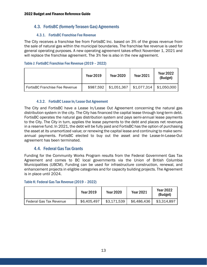# <span id="page-13-0"></span>4.3. FortisBC (formerly Terasen Gas) Agreements

#### 4.3.1. FortisBC Franchise Fee Revenue

<span id="page-13-1"></span>The City receives a franchise fee from FortisBC Inc. based on 3% of the gross revenue from the sale of natural gas within the municipal boundaries. The franchise fee revenue is used for general operating purposes. A new operating agreement takes effect November 1, 2021 and will replace the franchise agreement. The 3% fee is also in the new agreement.

#### <span id="page-13-2"></span>Table J: FortisBC Franchise Fee Revenue (2019 – 2022)

|                                | <b>Year 2019</b> | <b>Year 2020</b> | <b>Year 2021</b> | <b>Year 2022</b><br>(Budget) |
|--------------------------------|------------------|------------------|------------------|------------------------------|
| FortisBC Franchise Fee Revenue | \$987,592        | \$1,051,367      | \$1,077,314      | \$1,050,000                  |

#### 4.3.2. FortisBC Lease In/Lease Out Agreement

<span id="page-13-3"></span>The City and FortisBC have a Lease In/Lease Out Agreement concerning the natural gas distribution system in the city. The City has financed the capital lease through long-term debt. FortisBC operates the natural gas distribution system and pays semi-annual lease payments to the City. The City in turn, applies the lease payments to the debt and places net revenues in a reserve fund. In 2021, the debt will be fully paid and FortisBC has the option of purchasing the asset at its unamortized value; or renewing the capital lease and continuing to make semiannual payments. FortisBC elected to buy out the asset and the Lease-In-Lease-Out agreement has been terminated.

# 4.4. Federal Gas Tax Grants

<span id="page-13-4"></span>Funding for the Community Works Program results from the Federal Government Gas Tax Agreement and comes to BC local governments via the Union of British Columbia Municipalities (UBCM). Funding can be used for infrastructure construction, renewal, and enhancement projects in eligible categories and for capacity building projects. The Agreement is in place until 2024.

#### <span id="page-13-5"></span>Table K: Federal Gas Tax Revenue (2019 – 2022)

|                         | <b>Year 2019</b> | <b>Year 2020</b> | <b>Year 2021</b> | <b>Year 2022</b><br>(Budget) |
|-------------------------|------------------|------------------|------------------|------------------------------|
| Federal Gas Tax Revenue | \$6,405,497      | \$3,171,539      | \$6,486,436      | \$3,314,897                  |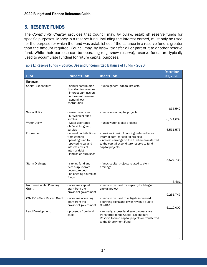# <span id="page-14-0"></span>5. RESERVE FUNDS

The *Community Charter* provides that Council may, by bylaw, establish reserve funds for specific purposes. Money in a reserve fund, including the interest earned, must only be used for the purpose for which the fund was established. If the balance in a reserve fund is greater than the amount required, Council may, by bylaw, transfer all or part of it to another reserve fund. While their purpose can be operating (e.g. snow reserve), reserve funds are typically used to accumulate funding for future capital purposes.

| <b>Source of Funds</b>                                                                                                                             | <b>Use of Funds</b>                                                                                                                                                                                      | <b>December</b><br>31,2020                                                                                                 |
|----------------------------------------------------------------------------------------------------------------------------------------------------|----------------------------------------------------------------------------------------------------------------------------------------------------------------------------------------------------------|----------------------------------------------------------------------------------------------------------------------------|
|                                                                                                                                                    |                                                                                                                                                                                                          |                                                                                                                            |
| - annual contribution<br>from Gaming revenue<br>- interest earnings on<br><b>Endowment Reserve</b><br>- general levy<br>contribution               | - funds general capital projects                                                                                                                                                                         |                                                                                                                            |
|                                                                                                                                                    |                                                                                                                                                                                                          | 835,542                                                                                                                    |
| - MFA sinking fund                                                                                                                                 |                                                                                                                                                                                                          | 8,771,639                                                                                                                  |
| - water user rates<br>- MFA sinking fund                                                                                                           | - funds water capital projects                                                                                                                                                                           |                                                                                                                            |
| - annual contributions<br>from general<br>operating fund to<br>repay principal and<br>interest costs of<br>internal debt<br>- land sales surpluses | - provides interim financing (referred to as<br>internal debt) for capital projects<br>- interest earnings on the fund are transferred<br>to the capital expenditure reserve to fund<br>capital projects | 6,531,573                                                                                                                  |
|                                                                                                                                                    |                                                                                                                                                                                                          | 5,527,738                                                                                                                  |
| debt surplus from<br>debenture debt<br>- no ongoing source of<br>funds                                                                             | drainage                                                                                                                                                                                                 |                                                                                                                            |
|                                                                                                                                                    |                                                                                                                                                                                                          | 7,461                                                                                                                      |
| grant from the<br>provincial government                                                                                                            | capital project                                                                                                                                                                                          | 9,251,747                                                                                                                  |
| - one-time operating<br>grant from the<br>provincial government                                                                                    | - funds to be used to mitigate increased<br>operating costs and lower revenue due to<br>COVID-19                                                                                                         |                                                                                                                            |
| - proceeds from land<br>sales                                                                                                                      | - annually, excess land sale proceeds are<br>transferred to the Capital Expenditure<br>Reserve to fund capital projects or transferred<br>to the Endowment Fund                                          | 6,110,000<br>0                                                                                                             |
|                                                                                                                                                    | - sewer user rates<br>surplus<br>surplus<br>- sinking fund and<br>- one-time capital                                                                                                                     | - funds sewer capital projects<br>- funds capital projects related to storm<br>- funds to be used for capacity building or |

<span id="page-14-1"></span>Table L: Reserve Funds – Source, Use and Uncommitted Balance of Funds – 2020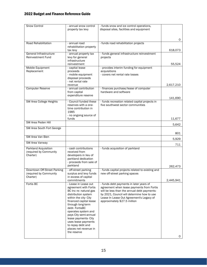| <b>Road Rehabilitation</b><br>- annual road<br>- funds road rehabilitation projects<br>rehabilitation property<br>tax levy<br>General Infrastructure<br>- annual property tax<br>- funds general infrastructure reinvestment<br><b>Reinvestment Fund</b><br>levy for general<br>projects<br>infrastructure<br>reinvestment<br>- provides interim funding for equipment<br>Mobile Equipment<br>- capital lease<br>Replacement<br>proceeds<br>acquisitions<br>- mobile equipment<br>- covers net rental rate losses<br>disposal proceeds<br>- net rental rate<br>2,617,210<br>revenue<br>- finances purchase/lease of computer<br><b>Computer Reserve</b><br>- annual contribution<br>hardware and software<br>from capital<br>expenditure reserve<br>SW Area College Heights<br>- Council funded these<br>- funds recreation related capital projects in<br>reserves with a one-<br>five southwest sector communities<br>time contribution in<br>1985<br>- no ongoing source of<br>funds<br>SW Area Peden Hill<br>SW Area South Fort George<br>SW Area Van Bien<br>SW Area Vanway<br>Parkland Acquisition<br>- cash contributions<br>- funds acquisition of parkland<br>(required by Community<br>received from<br>Charter)<br>developers in lieu of<br>parkland dedication<br>- proceeds from sale of<br>parkland<br>- funds capital projects related to existing and<br>Downtown Off-Street Parking<br>- off-street parking<br>surplus and levy funds<br>(required by Community<br>new off-street parking spaces<br>Charter)<br>in excess of capital<br>commitments<br>Fortis BC<br>- Lease in Lease out<br>- funds debt payments in later years of<br>agreement with Fortis<br>agreement when lease payments from Fortis<br>BC Inc re: natural gas<br>will be less than the annual debt payments-<br>distribution system<br>by 2021, Council will determine how to use<br>within the city- City<br>Lease In Lease Out Agreement's Legacy of<br>financed capital lease<br>approximately \$27.5 million<br>through long-term<br>debt-FortisBC<br>operates system and<br>pays City semi-annual<br>lease payments- City<br>uses lease payments<br>to repay debt and<br>places net revenue in | <b>Snow Control</b> | - annual snow control<br>property tax levy | - funds snow and ice control operations,<br>disposal sites, facilities and equipment |                |
|--------------------------------------------------------------------------------------------------------------------------------------------------------------------------------------------------------------------------------------------------------------------------------------------------------------------------------------------------------------------------------------------------------------------------------------------------------------------------------------------------------------------------------------------------------------------------------------------------------------------------------------------------------------------------------------------------------------------------------------------------------------------------------------------------------------------------------------------------------------------------------------------------------------------------------------------------------------------------------------------------------------------------------------------------------------------------------------------------------------------------------------------------------------------------------------------------------------------------------------------------------------------------------------------------------------------------------------------------------------------------------------------------------------------------------------------------------------------------------------------------------------------------------------------------------------------------------------------------------------------------------------------------------------------------------------------------------------------------------------------------------------------------------------------------------------------------------------------------------------------------------------------------------------------------------------------------------------------------------------------------------------------------------------------------------------------------------------------------------------------------------------------------------------------------------------------|---------------------|--------------------------------------------|--------------------------------------------------------------------------------------|----------------|
|                                                                                                                                                                                                                                                                                                                                                                                                                                                                                                                                                                                                                                                                                                                                                                                                                                                                                                                                                                                                                                                                                                                                                                                                                                                                                                                                                                                                                                                                                                                                                                                                                                                                                                                                                                                                                                                                                                                                                                                                                                                                                                                                                                                            |                     |                                            |                                                                                      | 0              |
|                                                                                                                                                                                                                                                                                                                                                                                                                                                                                                                                                                                                                                                                                                                                                                                                                                                                                                                                                                                                                                                                                                                                                                                                                                                                                                                                                                                                                                                                                                                                                                                                                                                                                                                                                                                                                                                                                                                                                                                                                                                                                                                                                                                            |                     |                                            |                                                                                      | 618,073        |
|                                                                                                                                                                                                                                                                                                                                                                                                                                                                                                                                                                                                                                                                                                                                                                                                                                                                                                                                                                                                                                                                                                                                                                                                                                                                                                                                                                                                                                                                                                                                                                                                                                                                                                                                                                                                                                                                                                                                                                                                                                                                                                                                                                                            |                     |                                            |                                                                                      | 55,524         |
|                                                                                                                                                                                                                                                                                                                                                                                                                                                                                                                                                                                                                                                                                                                                                                                                                                                                                                                                                                                                                                                                                                                                                                                                                                                                                                                                                                                                                                                                                                                                                                                                                                                                                                                                                                                                                                                                                                                                                                                                                                                                                                                                                                                            |                     |                                            |                                                                                      |                |
|                                                                                                                                                                                                                                                                                                                                                                                                                                                                                                                                                                                                                                                                                                                                                                                                                                                                                                                                                                                                                                                                                                                                                                                                                                                                                                                                                                                                                                                                                                                                                                                                                                                                                                                                                                                                                                                                                                                                                                                                                                                                                                                                                                                            |                     |                                            |                                                                                      |                |
|                                                                                                                                                                                                                                                                                                                                                                                                                                                                                                                                                                                                                                                                                                                                                                                                                                                                                                                                                                                                                                                                                                                                                                                                                                                                                                                                                                                                                                                                                                                                                                                                                                                                                                                                                                                                                                                                                                                                                                                                                                                                                                                                                                                            |                     |                                            |                                                                                      | 141,690        |
|                                                                                                                                                                                                                                                                                                                                                                                                                                                                                                                                                                                                                                                                                                                                                                                                                                                                                                                                                                                                                                                                                                                                                                                                                                                                                                                                                                                                                                                                                                                                                                                                                                                                                                                                                                                                                                                                                                                                                                                                                                                                                                                                                                                            |                     |                                            |                                                                                      |                |
|                                                                                                                                                                                                                                                                                                                                                                                                                                                                                                                                                                                                                                                                                                                                                                                                                                                                                                                                                                                                                                                                                                                                                                                                                                                                                                                                                                                                                                                                                                                                                                                                                                                                                                                                                                                                                                                                                                                                                                                                                                                                                                                                                                                            |                     |                                            |                                                                                      | 11,677         |
|                                                                                                                                                                                                                                                                                                                                                                                                                                                                                                                                                                                                                                                                                                                                                                                                                                                                                                                                                                                                                                                                                                                                                                                                                                                                                                                                                                                                                                                                                                                                                                                                                                                                                                                                                                                                                                                                                                                                                                                                                                                                                                                                                                                            |                     |                                            |                                                                                      | 5,642          |
|                                                                                                                                                                                                                                                                                                                                                                                                                                                                                                                                                                                                                                                                                                                                                                                                                                                                                                                                                                                                                                                                                                                                                                                                                                                                                                                                                                                                                                                                                                                                                                                                                                                                                                                                                                                                                                                                                                                                                                                                                                                                                                                                                                                            |                     |                                            |                                                                                      | 801            |
|                                                                                                                                                                                                                                                                                                                                                                                                                                                                                                                                                                                                                                                                                                                                                                                                                                                                                                                                                                                                                                                                                                                                                                                                                                                                                                                                                                                                                                                                                                                                                                                                                                                                                                                                                                                                                                                                                                                                                                                                                                                                                                                                                                                            |                     |                                            |                                                                                      | 5,929          |
|                                                                                                                                                                                                                                                                                                                                                                                                                                                                                                                                                                                                                                                                                                                                                                                                                                                                                                                                                                                                                                                                                                                                                                                                                                                                                                                                                                                                                                                                                                                                                                                                                                                                                                                                                                                                                                                                                                                                                                                                                                                                                                                                                                                            |                     |                                            |                                                                                      | 711            |
|                                                                                                                                                                                                                                                                                                                                                                                                                                                                                                                                                                                                                                                                                                                                                                                                                                                                                                                                                                                                                                                                                                                                                                                                                                                                                                                                                                                                                                                                                                                                                                                                                                                                                                                                                                                                                                                                                                                                                                                                                                                                                                                                                                                            |                     |                                            |                                                                                      | 262,473        |
|                                                                                                                                                                                                                                                                                                                                                                                                                                                                                                                                                                                                                                                                                                                                                                                                                                                                                                                                                                                                                                                                                                                                                                                                                                                                                                                                                                                                                                                                                                                                                                                                                                                                                                                                                                                                                                                                                                                                                                                                                                                                                                                                                                                            |                     |                                            |                                                                                      |                |
|                                                                                                                                                                                                                                                                                                                                                                                                                                                                                                                                                                                                                                                                                                                                                                                                                                                                                                                                                                                                                                                                                                                                                                                                                                                                                                                                                                                                                                                                                                                                                                                                                                                                                                                                                                                                                                                                                                                                                                                                                                                                                                                                                                                            |                     | the reserve                                |                                                                                      | 2,445,941<br>0 |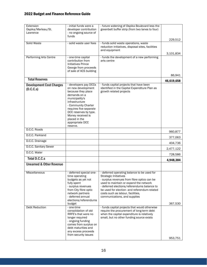| Extension                           | - initial funds were a                          | - future widening of Ospika Boulevard less the                                          |            |
|-------------------------------------|-------------------------------------------------|-----------------------------------------------------------------------------------------|------------|
| Ospika/Marleau/St.                  | developer contribution                          | greenbelt buffer strip (from two lanes to four)                                         |            |
| Lawrence                            | - no ongoing source of                          |                                                                                         |            |
|                                     | funds                                           |                                                                                         | 229,512    |
| Solid Waste                         | - solid waste user fees                         | - funds solid waste operations, waste                                                   |            |
|                                     |                                                 | reduction initiatives, disposal sites, facilities                                       |            |
|                                     |                                                 | and equipment                                                                           | 3,101,834  |
| Performing Arts Centre              | - one-time capital                              | - funds the development of a new performing                                             |            |
|                                     | contribution from                               | arts centre                                                                             |            |
|                                     | <b>Initiatives Prince</b>                       |                                                                                         |            |
|                                     | George from proceeds<br>of sale of ACS building |                                                                                         |            |
|                                     |                                                 |                                                                                         | 86,941     |
| <b>Total Reserves</b>               |                                                 |                                                                                         | 46,619,658 |
| <b>Development Cost Charges</b>     | - developers pay DCCs                           | - funds capital projects that have been                                                 |            |
| (D.C.C.s)                           | on new development                              | identified in the Capital Expenditure Plan as                                           |            |
|                                     | because they place<br>demands on a              | growth related projects                                                                 |            |
|                                     | municipality's                                  |                                                                                         |            |
|                                     | infrastructure                                  |                                                                                         |            |
|                                     | - Community Charter<br>requires five separate   |                                                                                         |            |
|                                     | DCC reserves by type.                           |                                                                                         |            |
|                                     | Money received is                               |                                                                                         |            |
|                                     | placed in the                                   |                                                                                         |            |
|                                     | appropriate DCC<br>reserve.                     |                                                                                         |            |
| D.C.C. Roads                        |                                                 |                                                                                         | 960,877    |
| D.C.C. Parkland                     |                                                 |                                                                                         | 377,063    |
| D.C.C. Drainage                     |                                                 |                                                                                         | 404,736    |
| D.C.C. Sanitary Sewer               |                                                 |                                                                                         | 2,477,122  |
| D.C.C. Water                        |                                                 |                                                                                         | 728,586    |
| <b>Total D.C.C.s</b>                |                                                 |                                                                                         | 4,948,384  |
| <b>Unearned &amp; Other Revenue</b> |                                                 |                                                                                         |            |
| <b>Miscellaneous</b>                | - deferred special one-                         | - deferred operating balance to be used for                                             |            |
|                                     | time operating                                  | Strategic Initiatives                                                                   |            |
|                                     | budgets as yet not<br>fully spent               | - surplus revenues from fibre optics can be<br>used to maintain or expand the network   |            |
|                                     | - surplus revenues                              | - deferred elections/referendums balance to                                             |            |
|                                     | from City fibre optic                           | be used for election- and referendum-related                                            |            |
|                                     | network partners<br>- deferred annual           | costs such as labour, facilities,                                                       |            |
|                                     | elections/referendums                           | communications, and supplies                                                            |            |
|                                     | budget                                          |                                                                                         | 367,530    |
| Debt Reduction                      | - one-time                                      | - funds capital projects that would otherwise                                           |            |
|                                     | consolidation of old<br>RRFE's that were no     | require the procurement of long-term debt<br>when the capital expenditure is relatively |            |
|                                     | longer required                                 | small, but no other funding source exists                                               |            |
|                                     | - ongoing funding                               |                                                                                         |            |
|                                     | comes from surplus on<br>debt maturities and    |                                                                                         |            |
|                                     | any excess proceeds                             |                                                                                         |            |
|                                     | from security issues                            |                                                                                         |            |
|                                     |                                                 |                                                                                         | 953,751    |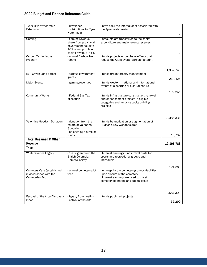| Tyner Blvd Water main             | - developer                                   | - pays back the internal debt associated with |              |
|-----------------------------------|-----------------------------------------------|-----------------------------------------------|--------------|
| Extension                         | contributions for Tyner                       | the Tyner water main                          |              |
|                                   | water main                                    |                                               | 0            |
| Gaming                            | - gaming revenue                              | - amounts are transferred to the capital      |              |
|                                   | share from provincial                         | expenditure and major events reserves         |              |
|                                   | government equal to                           |                                               |              |
|                                   | 10% of net profits of                         |                                               |              |
|                                   | casino revenue in city                        |                                               | 0            |
| Carbon Tax Initiative             | - annual Carbon Tax                           | - funds projects or purchase offsets that     |              |
| Program                           | rebate                                        | reduce the City's overall carbon footprint    |              |
|                                   |                                               |                                               |              |
|                                   |                                               |                                               |              |
|                                   |                                               |                                               | 1,957,746    |
| <b>EVP Crown Land Forest</b>      | - various government                          | - funds urban forestry management             |              |
|                                   | grants                                        |                                               | 234,428      |
| <b>Major Events</b>               | - gaming revenues                             | - funds western, national and international   |              |
|                                   |                                               | events of a sporting or cultural nature       |              |
|                                   |                                               |                                               | 192,265      |
| <b>Community Works</b>            | - Federal Gas Tax                             | - funds infrastructure construction, renewal  |              |
|                                   | allocation                                    | and enhancement projects in eligible          |              |
|                                   |                                               | categories and funds capacity building        |              |
|                                   |                                               | projects                                      |              |
|                                   |                                               |                                               |              |
|                                   |                                               |                                               |              |
|                                   |                                               |                                               | 8,386,331    |
| Valentina Goodwin Donation        | - donation from the                           | - funds beautification or augmentation of     |              |
|                                   | estate of Valentina                           | Hudson's Bay Wetlands area                    |              |
|                                   | Goodwin                                       |                                               |              |
|                                   | - no ongoing source of                        |                                               |              |
|                                   | funds                                         |                                               | 13,737       |
| <b>Total Unearned &amp; Other</b> |                                               |                                               |              |
| Revenue                           |                                               |                                               | 12, 105, 788 |
| <b>Trusts</b>                     |                                               |                                               |              |
| Winter Games Legacy               | - 1982 grant from the                         | - Interest earnings funds travel costs for    |              |
|                                   | <b>British Columbia</b>                       | sports and recreational groups and            |              |
|                                   | <b>Games Society</b>                          | individuals                                   |              |
|                                   |                                               |                                               |              |
|                                   |                                               |                                               | 101,289      |
| Cemetery Care (established        | - annual cemetery plot                        | - upkeep for the cemetery grounds/facilities  |              |
| in accordance with the            | fees                                          | upon closure of the cemetery                  |              |
| Cemeteries Act)                   |                                               | - interest earnings are used to offset        |              |
|                                   |                                               | cemetery operating and capital costs          |              |
|                                   |                                               |                                               |              |
|                                   |                                               |                                               |              |
|                                   |                                               |                                               | 2,587,393    |
| Festival of the Arts/Discovery    | - legacy from hosting<br>Festival of the Arts | - funds public art projects                   |              |
| Place                             |                                               |                                               | 35,290       |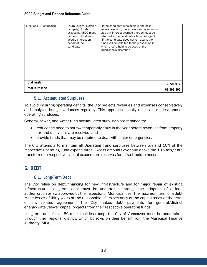| Elections BC Campaign   | - surplus local election<br>campaign funds<br>exceeding \$500 must<br>be held in trust and<br>accrue interest on<br>behalf of the<br>candidate | - if the candidate runs again in the next<br>general election, the excess campaign funds<br>plus any interest accrued thereon must be<br>returned to the candidates' financial agent<br>- if the candidate does not run again, the<br>funds will be forfeited to the jurisdiction in<br>which they're held to be used at the<br>jurisdiction's discretion | ი          |
|-------------------------|------------------------------------------------------------------------------------------------------------------------------------------------|-----------------------------------------------------------------------------------------------------------------------------------------------------------------------------------------------------------------------------------------------------------------------------------------------------------------------------------------------------------|------------|
| <b>Total Trusts</b>     |                                                                                                                                                |                                                                                                                                                                                                                                                                                                                                                           | 2,723,972  |
| <b>Total in Reserve</b> |                                                                                                                                                |                                                                                                                                                                                                                                                                                                                                                           | 66,397,802 |

## <span id="page-18-0"></span>5.1. Accumulated Surpluses

To avoid incurring operating deficits, the City projects revenues and expenses conservatively and analyzes budget variances regularly. This approach usually results in modest annual operating surpluses.

General, sewer, and water fund accumulated surpluses are retained to:

- reduce the need to borrow temporarily early in the year before revenues from property tax and utility bills are received; and
- provide funds that may be required to deal with major emergencies.

The City attempts to maintain all Operating Fund surpluses between 5% and 10% of the respective Operating Fund expenditures. Excess amounts over and above the 10% target are transferred to respective capital expenditure reserves for infrastructure needs.

# <span id="page-18-2"></span><span id="page-18-1"></span>6. DEBT

#### 6.1. Long-Term Debt

The City relies on debt financing for new infrastructure and for major repair of existing infrastructure. Long-term debt must be undertaken through the adoption of a loan authorization bylaw approved by the Inspector of Municipalities. The maximum term of a debt is the lesser of thirty years or the reasonable life expectancy of the capital asset or the term of any related agreement. The City makes debt payments for general/district energy/water/sewer capital projects from their respective operating funds.

Long-term debt for all BC municipalities except the City of Vancouver must be undertaken through their regional district, which borrows on their behalf from the Municipal Finance Authority (MFA).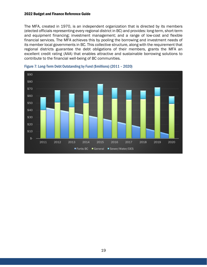The MFA, created in 1970, is an independent organization that is directed by its members (elected officials representing every regional district in BC) and provides: long-term, short-term and equipment financing; investment management; and a range of low-cost and flexible financial services. The MFA achieves this by pooling the borrowing and investment needs of its member local governments in BC. This collective structure, along with the requirement that regional districts guarantee the debt obligations of their members, grants the MFA an excellent credit rating (AAA) that enables attractive and sustainable borrowing solutions to contribute to the financial well-being of BC communities.



<span id="page-19-0"></span>Figure 7: Long-Term Debt Outstanding by Fund (\$millions) (2011 – 2020)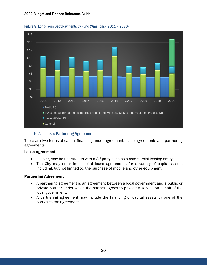

#### <span id="page-20-0"></span>Figure 8: Long-Term Debt Payments by Fund (\$millions) (2011 – 2020)

#### 6.2. Lease/Partnering Agreement

<span id="page-20-1"></span>There are two forms of capital financing under agreement: lease agreements and partnering agreements.

#### Lease Agreement

- Leasing may be undertaken with a  $3<sup>rd</sup>$  party such as a commercial leasing entity.
- The City may enter into capital lease agreements for a variety of capital assets including, but not limited to, the purchase of mobile and other equipment.

#### Partnering Agreement

- A partnering agreement is an agreement between a local government and a public or private partner under which the partner agrees to provide a service on behalf of the local government.
- A partnering agreement may include the financing of capital assets by one of the parties to the agreement.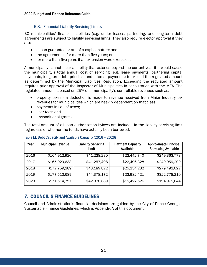# 6.3. Financial Liability Servicing Limits

<span id="page-21-0"></span>BC municipalities' financial liabilities (e.g. under leases, partnering, and long-term debt agreements) are subject to liability servicing limits. They also require elector approval if they are:

- a loan guarantee or are of a capital nature; and
- the agreement is for more than five years; or
- for more than five years if an extension were exercised.

A municipality cannot incur a liability that extends beyond the current year if it would cause the municipality's total annual cost of servicing (e.g. lease payments, partnering capital payments, long-term debt principal and interest payments) to exceed the regulated amount as determined by the Municipal Liabilities Regulation. Exceeding the regulated amount requires prior approval of the Inspector of Municipalities in consultation with the MFA. The regulated amount is based on 25% of a municipality's controllable revenues such as:

- property taxes a deduction is made to revenue received from Major Industry tax revenues for municipalities which are heavily dependent on that class;
- payments in lieu of taxes;
- user fees; and
- unconditional grants.

The total amount of all loan authorization bylaws are included in the liability servicing limit regardless of whether the funds have actually been borrowed.

| Year | <b>Municipal Revenue</b> | <b>Liability Servicing</b><br>Limit | <b>Payment Capacity</b><br>Available | <b>Approximate Principal</b><br><b>Borrowing Available</b> |
|------|--------------------------|-------------------------------------|--------------------------------------|------------------------------------------------------------|
| 2016 | \$164,912,920            | \$41,228,230                        | \$22,442,740                         | \$249,363,778                                              |
| 2017 | \$165,029,633            | \$41,257,408                        | \$22,496,328                         | \$249,959,200                                              |
| 2018 | \$172,759,289            | \$43,189,822                        | \$25,154,282                         | \$279,492,022                                              |
| 2019 | \$177,512,689            | \$44,378,172                        | \$23,982,421                         | \$322,778,210                                              |
| 2020 | \$171,514,757            | \$42,878,689                        | \$15,422,526                         | \$194,975,044                                              |

#### <span id="page-21-1"></span>Table M: Debt Capacity and Available Capacity (2016 – 2020)

# <span id="page-21-2"></span>7. COUNCIL'S FINANCE GUIDELINES

Council and Administration's financial decisions are guided by the City of Prince George's Sustainable Finance Guidelines, which is Appendix A of this document.